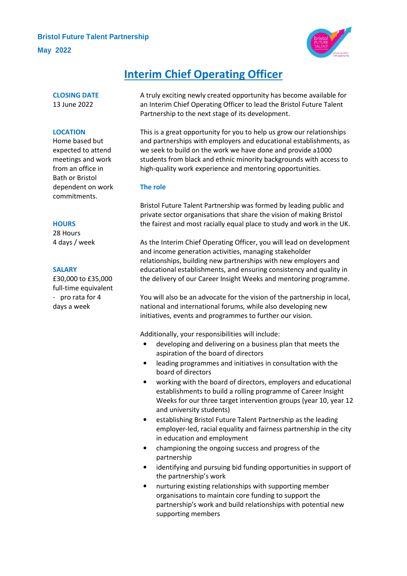# **Bristol Future Talent Partnership May 2022**



# **Interim Chief Operating Officer**

**CLOSING DATE** 13 June 2022

#### **LOCATION**

Home based but expected to attend meetings and work from an office in Bath or Bristol dependent on work commitments.

#### **HOURS**

28 Hours 4 days / week

#### **SALARY**

£30,000 to £35,000 full-time equivalent - pro rata for 4 days a week

A truly exciting newly created opportunity has become available for an Interim Chief Operating Officer to lead the Bristol Future Talent Partnership to the next stage of its development.

This is a great opportunity for you to help us grow our relationships and partnerships with employers and educational establishments, as we seek to build on the work we have done and provide a1000 students from black and ethnic minority backgrounds with access to high-quality work experience and mentoring opportunities.

# **The role**

Bristol Future Talent Partnership was formed by leading public and private sector organisations that share the vision of making Bristol the fairest and most racially equal place to study and work in the UK.

As the Interim Chief Operating Officer, you will lead on development and income generation activities, managing stakeholder relationships, building new partnerships with new employers and educational establishments, and ensuring consistency and quality in the delivery of our Career Insight Weeks and mentoring programme.

You will also be an advocate for the vision of the partnership in local, national and international forums, while also developing new initiatives, events and programmes to further our vision.

Additionally, your responsibilities will include:

- developing and delivering on a business plan that meets the aspiration of the board of directors
- leading programmes and initiatives in consultation with the board of directors
- working with the board of directors, employers and educational establishments to build a rolling programme of Career Insight Weeks for our three target intervention groups (year 10, year 12 and university students)
- establishing Bristol Future Talent Partnership as the leading employer-led, racial equality and fairness partnership in the city in education and employment
- championing the ongoing success and progress of the partnership
- identifying and pursuing bid funding opportunities in support of the partnership's work
- nurturing existing relationships with supporting member organisations to maintain core funding to support the partnership's work and build relationships with potential new supporting members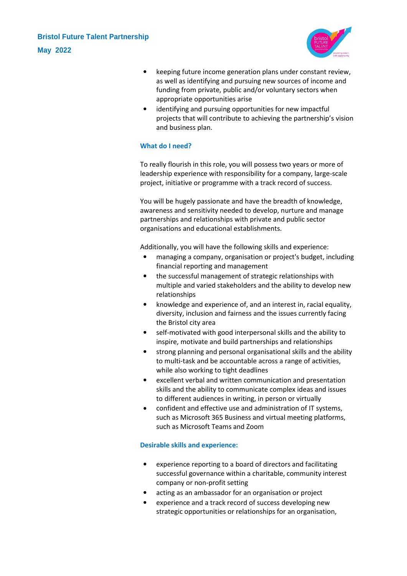

- keeping future income generation plans under constant review, as well as identifying and pursuing new sources of income and funding from private, public and/or voluntary sectors when appropriate opportunities arise
- identifying and pursuing opportunities for new impactful projects that will contribute to achieving the partnership's vision and business plan.

# **What do I need?**

To really flourish in this role, you will possess two years or more of leadership experience with responsibility for a company, large-scale project, initiative or programme with a track record of success.

You will be hugely passionate and have the breadth of knowledge, awareness and sensitivity needed to develop, nurture and manage partnerships and relationships with private and public sector organisations and educational establishments.

Additionally, you will have the following skills and experience:

- managing a company, organisation or project's budget, including financial reporting and management
- the successful management of strategic relationships with multiple and varied stakeholders and the ability to develop new relationships
- knowledge and experience of, and an interest in, racial equality, diversity, inclusion and fairness and the issues currently facing the Bristol city area
- self-motivated with good interpersonal skills and the ability to inspire, motivate and build partnerships and relationships
- strong planning and personal organisational skills and the ability to multi-task and be accountable across a range of activities, while also working to tight deadlines
- excellent verbal and written communication and presentation skills and the ability to communicate complex ideas and issues to different audiences in writing, in person or virtually
- confident and effective use and administration of IT systems, such as Microsoft 365 Business and virtual meeting platforms, such as Microsoft Teams and Zoom

# **Desirable skills and experience:**

- experience reporting to a board of directors and facilitating successful governance within a charitable, community interest company or non-profit setting
- acting as an ambassador for an organisation or project
- experience and a track record of success developing new strategic opportunities or relationships for an organisation,